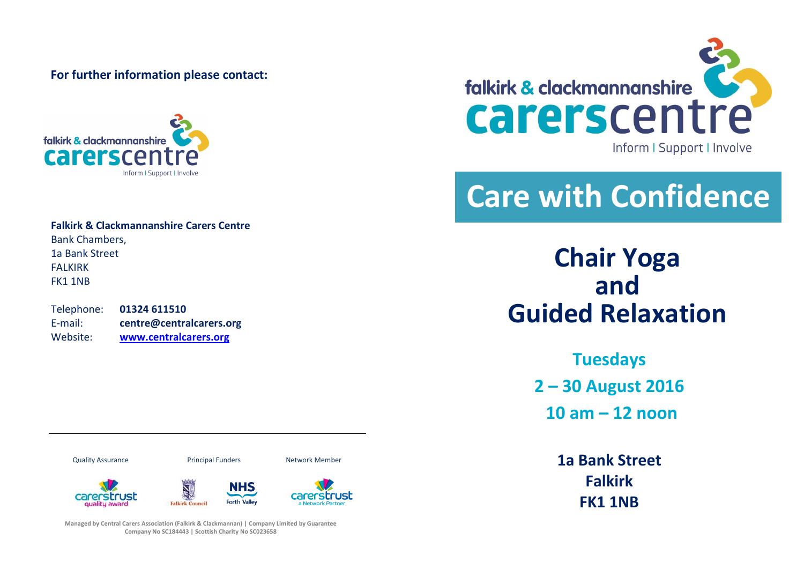**For further information please contact:**



**Falkirk & Clackmannanshire Carers Centre** Bank Chambers, 1a Bank Street **FALKIRK** FK1 1NB

Telephone: **01324 611510** E-mail: **centre@centralcarers.org** Website: **[www.centralcarers.org](http://www.centralcarers.org/)**



## **Care with Confidence**

**Chair Yoga and Guided Relaxation** 

> **Tuesdays 2 – 30 August 2016 10 am – 12 noon**

> > **1a Bank Street Falkirk FK1 1NB**

carerstrust **Falkirk Council** 



Quality Assurance Principal Funders Network Member



**Managed by Central Carers Association (Falkirk & Clackmannan) | Company Limited by Guarantee Company No SC184443 | Scottish Charity No SC023658**